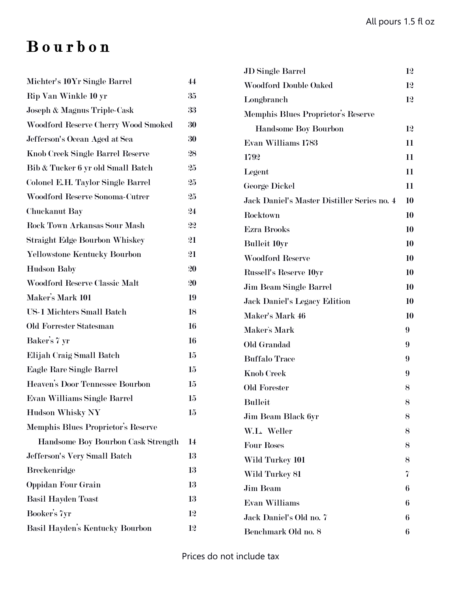# B o u r b o n

| Michter's 10Yr Single Barrel         | 44     |
|--------------------------------------|--------|
| Rip Van Winkle 10 yr                 | 35     |
| Joseph & Magnus Triple-Cask          | 33     |
| Woodford Reserve Cherry Wood Smoked  | 30     |
| Jefferson's Ocean Aged at Sea        | 30     |
| Knob Creek Single Barrel Reserve     | 28     |
| Bib & Tucker 6 yr old Small Batch    | 25     |
| Colonel E.H. Taylor Single Barrel    | 25     |
| Woodford Reserve Sonoma-Cutrer       | 25     |
| Chuckanut Bay                        | 24     |
| <b>Rock Town Arkansas Sour Mash</b>  | 22     |
| Straight Edge Bourbon Whiskey        | 21     |
| Yellowstone Kentucky Bourbon         | 21     |
| <b>Hudson Baby</b>                   | 20     |
| <b>Woodford Reserve Classic Malt</b> | 20     |
| Maker's Mark 101                     | 19     |
| <b>US-1 Michters Small Batch</b>     | 18     |
| Old Forrester Statesman              | 16     |
| Baker's 7 yr                         | 16     |
| Elijah Craig Small Batch             | 15     |
| Eagle Rare Single Barrel             | 15     |
| Heaven's Door Tennessee Bourbon      | 15     |
| Evan Williams Single Barrel          | 15     |
| <b>Hudson Whisky NY</b>              | $15\,$ |
| Memphis Blues Proprietor's Reserve   |        |
| Handsome Boy Bourbon Cask Strength   | 14     |
| Jefferson's Very Small Batch         | 13     |
| <b>Breckenridge</b>                  | 13     |
| <b>Oppidan Four Grain</b>            | 13     |
| <b>Basil Hayden Toast</b>            | 13     |
| Booker's 7yr                         | 12     |
| Basil Hayden's Kentucky Bourbon      | 12     |

| <b>JD</b> Single Barrel                     | 12 |
|---------------------------------------------|----|
| <b>Woodford Double Oaked</b>                | 12 |
| Longbranch                                  | 12 |
| Memphis Blues Proprietor's Reserve          |    |
| <b>Handsome Boy Bourbon</b>                 | 12 |
| Evan Williams 1783                          | 11 |
| 1792                                        | 11 |
| Legent                                      | 11 |
| George Dickel                               | 11 |
| Jack Daniel's Master Distiller Series no. 4 | 10 |
| Rocktown                                    | 10 |
| <b>Ezra Brooks</b>                          | 10 |
| <b>Bulleit 10yr</b>                         | 10 |
| <b>Woodford Reserve</b>                     | 10 |
| <b>Russell's Reserve 10yr</b>               | 10 |
| Jim Beam Single Barrel                      | 10 |
| <b>Jack Daniel's Legacy Edition</b>         | 10 |
| Maker's Mark 46                             | 10 |
| Maker's Mark                                | 9  |
| Old Grandad                                 | 9  |
| <b>Buffalo Trace</b>                        | 9  |
| <b>Knob Creek</b>                           | 9  |
| Old Forester                                | 8  |
| <b>Bulleit</b>                              | 8  |
| Jim Beam Black 6yr                          | 8  |
| W.L. Weller                                 | 8  |
| <b>Four Roses</b>                           | 8  |
| Wild Turkey 101                             | 8  |
| Wild Turkey 81                              | 7  |
| <b>Jim Beam</b>                             | 6  |
| <b>Evan Williams</b>                        | 6  |
| Jack Daniel's Old no. 7                     | 6  |
| Benchmark Old no. 8                         | 6  |